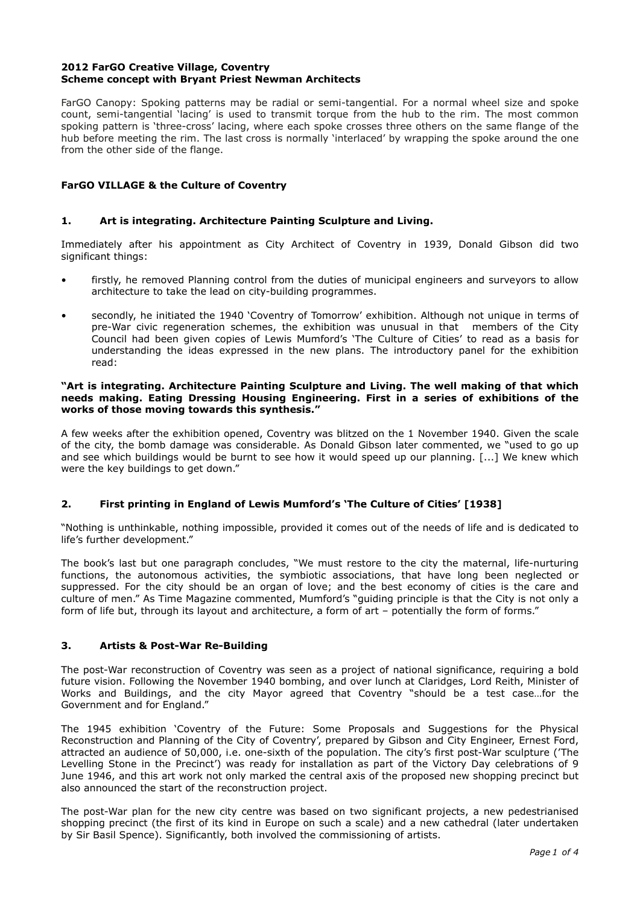#### **2012 FarGO Creative Village, Coventry Scheme concept with Bryant Priest Newman Architects**

FarGO Canopy: Spoking patterns may be radial or semi-tangential. For a normal wheel size and spoke count, semi-tangential 'lacing' is used to transmit torque from the hub to the rim. The most common spoking pattern is 'three-cross' lacing, where each spoke crosses three others on the same flange of the hub before meeting the rim. The last cross is normally 'interlaced' by wrapping the spoke around the one from the other side of the flange.

## **FarGO VILLAGE & the Culture of Coventry**

## **1. Art is integrating. Architecture Painting Sculpture and Living.**

Immediately after his appointment as City Architect of Coventry in 1939, Donald Gibson did two significant things:

- firstly, he removed Planning control from the duties of municipal engineers and surveyors to allow architecture to take the lead on city-building programmes.
- secondly, he initiated the 1940 'Coventry of Tomorrow' exhibition. Although not unique in terms of pre-War civic regeneration schemes, the exhibition was unusual in that members of the City Council had been given copies of Lewis Mumford's 'The Culture of Cities' to read as a basis for understanding the ideas expressed in the new plans. The introductory panel for the exhibition read:

#### **"Art is integrating. Architecture Painting Sculpture and Living. The well making of that which needs making. Eating Dressing Housing Engineering. First in a series of exhibitions of the works of those moving towards this synthesis."**

A few weeks after the exhibition opened, Coventry was blitzed on the 1 November 1940. Given the scale of the city, the bomb damage was considerable. As Donald Gibson later commented, we "used to go up and see which buildings would be burnt to see how it would speed up our planning. [...] We knew which were the key buildings to get down."

## **2. First printing in England of Lewis Mumford's 'The Culture of Cities' [1938]**

"Nothing is unthinkable, nothing impossible, provided it comes out of the needs of life and is dedicated to life's further development."

The book's last but one paragraph concludes, "We must restore to the city the maternal, life-nurturing functions, the autonomous activities, the symbiotic associations, that have long been neglected or suppressed. For the city should be an organ of love; and the best economy of cities is the care and culture of men." As Time Magazine commented, Mumford's "guiding principle is that the City is not only a form of life but, through its layout and architecture, a form of art – potentially the form of forms."

## **3. Artists & Post-War Re-Building**

The post-War reconstruction of Coventry was seen as a project of national significance, requiring a bold future vision. Following the November 1940 bombing, and over lunch at Claridges, Lord Reith, Minister of Works and Buildings, and the city Mayor agreed that Coventry "should be a test case…for the Government and for England."

The 1945 exhibition 'Coventry of the Future: Some Proposals and Suggestions for the Physical Reconstruction and Planning of the City of Coventry', prepared by Gibson and City Engineer, Ernest Ford, attracted an audience of 50,000, i.e. one-sixth of the population. The city's first post-War sculpture ('The Levelling Stone in the Precinct') was ready for installation as part of the Victory Day celebrations of 9 June 1946, and this art work not only marked the central axis of the proposed new shopping precinct but also announced the start of the reconstruction project.

The post-War plan for the new city centre was based on two significant projects, a new pedestrianised shopping precinct (the first of its kind in Europe on such a scale) and a new cathedral (later undertaken by Sir Basil Spence). Significantly, both involved the commissioning of artists.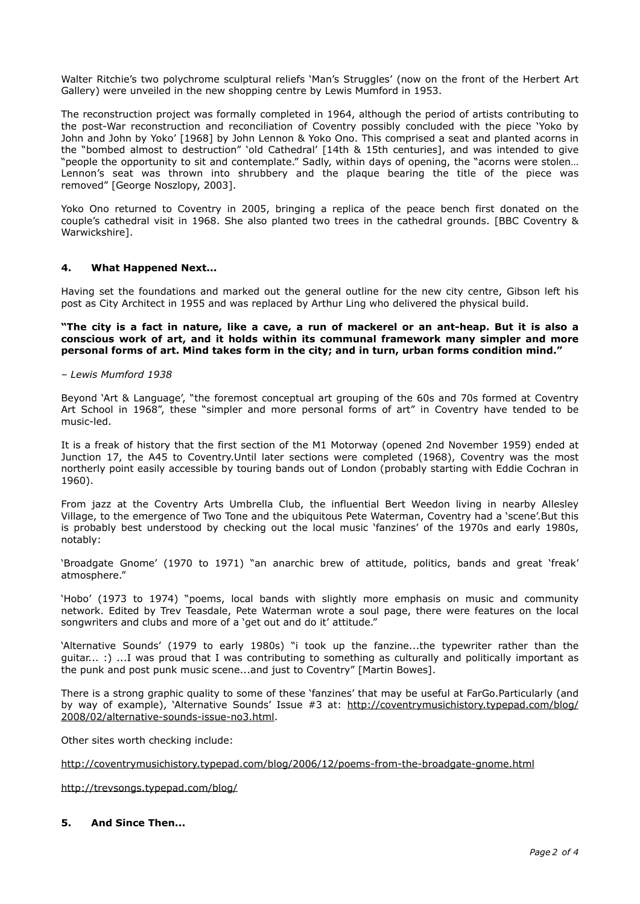Walter Ritchie's two polychrome sculptural reliefs 'Man's Struggles' (now on the front of the Herbert Art Gallery) were unveiled in the new shopping centre by Lewis Mumford in 1953.

The reconstruction project was formally completed in 1964, although the period of artists contributing to the post-War reconstruction and reconciliation of Coventry possibly concluded with the piece 'Yoko by John and John by Yoko' [1968] by John Lennon & Yoko Ono. This comprised a seat and planted acorns in the "bombed almost to destruction" 'old Cathedral' [14th & 15th centuries], and was intended to give "people the opportunity to sit and contemplate." Sadly, within days of opening, the "acorns were stolen… Lennon's seat was thrown into shrubbery and the plaque bearing the title of the piece was removed" [George Noszlopy, 2003].

Yoko Ono returned to Coventry in 2005, bringing a replica of the peace bench first donated on the couple's cathedral visit in 1968. She also planted two trees in the cathedral grounds. [BBC Coventry & Warwickshire].

## **4. What Happened Next...**

Having set the foundations and marked out the general outline for the new city centre, Gibson left his post as City Architect in 1955 and was replaced by Arthur Ling who delivered the physical build.

#### **"The city is a fact in nature, like a cave, a run of mackerel or an ant-heap. But it is also a conscious work of art, and it holds within its communal framework many simpler and more personal forms of art. Mind takes form in the city; and in turn, urban forms condition mind."**

#### *– Lewis Mumford 1938*

Beyond 'Art & Language', "the foremost conceptual art grouping of the 60s and 70s formed at Coventry Art School in 1968", these "simpler and more personal forms of art" in Coventry have tended to be music-led.

It is a freak of history that the first section of the M1 Motorway (opened 2nd November 1959) ended at Junction 17, the A45 to Coventry.Until later sections were completed (1968), Coventry was the most northerly point easily accessible by touring bands out of London (probably starting with Eddie Cochran in 1960).

From jazz at the Coventry Arts Umbrella Club, the influential Bert Weedon living in nearby Allesley Village, to the emergence of Two Tone and the ubiquitous Pete Waterman, Coventry had a 'scene'.But this is probably best understood by checking out the local music 'fanzines' of the 1970s and early 1980s, notably:

'Broadgate Gnome' (1970 to 1971) "an anarchic brew of attitude, politics, bands and great 'freak' atmosphere."

'Hobo' (1973 to 1974) "poems, local bands with slightly more emphasis on music and community network. Edited by Trev Teasdale, Pete Waterman wrote a soul page, there were features on the local songwriters and clubs and more of a 'get out and do it' attitude."

'Alternative Sounds' (1979 to early 1980s) "i took up the fanzine...the typewriter rather than the guitar... :) ...I was proud that I was contributing to something as culturally and politically important as the punk and post punk music scene...and just to Coventry" [Martin Bowes].

There is a strong graphic quality to some of these 'fanzines' that may be useful at FarGo.Particularly (and by way of example), 'Alternative Sounds' Issue #3 at: [http://coventrymusichistory.typepad.com/blog/](http://coventrymusichistory.typepad.com/blog/2008/02/alternative-sounds-issue-no3.html) [2008/02/alternative-sounds-issue-no3.html](http://coventrymusichistory.typepad.com/blog/2008/02/alternative-sounds-issue-no3.html).

Other sites worth checking include:

#### <http://coventrymusichistory.typepad.com/blog/2006/12/poems-from-the-broadgate-gnome.html>

#### [http://trevsongs.typepad.com/blog/](http://trevsongs.typepad.com/blog/%5D)

## **5. And Since Then...**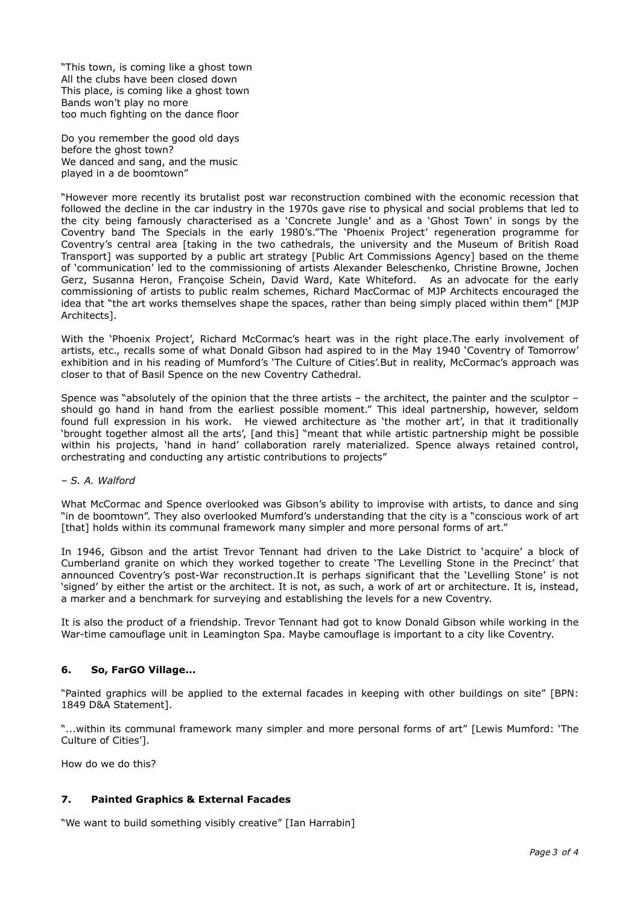"This town, is coming like a ghost town All the clubs have been closed down This place, is coming like a ghost town Bands won't play no more too much fighting on the dance floor

Do you remember the good old days before the ghost town? We danced and sang, and the music played in a de boomtown"

"However more recently its brutalist post war reconstruction combined with the economic recession that followed the decline in the car industry in the 1970s gave rise to physical and social problems that led to the city being famously characterised as a 'Concrete Jungle' and as a 'Ghost Town' in songs by the Coventry band The Specials in the early 1980's."The 'Phoenix Project' regeneration programme for Coventry's central area [taking in the two cathedrals, the university and the Museum of British Road Transport] was supported by a public art strategy [Public Art Commissions Agency] based on the theme of 'communication' led to the commissioning of artists Alexander Beleschenko, Christine Browne, Jochen Gerz, Susanna Heron, Françoise Schein, David Ward, Kate Whiteford. As an advocate for the early commissioning of artists to public realm schemes, Richard MacCormac of MJP Architects encouraged the idea that "the art works themselves shape the spaces, rather than being simply placed within them" [MJP Architects].

With the 'Phoenix Project', Richard McCormac's heart was in the right place.The early involvement of artists, etc., recalls some of what Donald Gibson had aspired to in the May 1940 'Coventry of Tomorrow' exhibition and in his reading of Mumford's 'The Culture of Cities'.But in reality, McCormac's approach was closer to that of Basil Spence on the new Coventry Cathedral.

Spence was "absolutely of the opinion that the three artists – the architect, the painter and the sculptor – should go hand in hand from the earliest possible moment." This ideal partnership, however, seldom found full expression in his work. He viewed architecture as 'the mother art', in that it traditionally 'brought together almost all the arts', [and this] "meant that while artistic partnership might be possible within his projects, 'hand in hand' collaboration rarely materialized. Spence always retained control, orchestrating and conducting any artistic contributions to projects"

## *– S. A. Walford*

What McCormac and Spence overlooked was Gibson's ability to improvise with artists, to dance and sing "in de boomtown". They also overlooked Mumford's understanding that the city is a "conscious work of art [that] holds within its communal framework many simpler and more personal forms of art."

In 1946, Gibson and the artist Trevor Tennant had driven to the Lake District to 'acquire' a block of Cumberland granite on which they worked together to create 'The Levelling Stone in the Precinct' that announced Coventry's post-War reconstruction.It is perhaps significant that the 'Levelling Stone' is not 'signed' by either the artist or the architect. It is not, as such, a work of art or architecture. It is, instead, a marker and a benchmark for surveying and establishing the levels for a new Coventry.

It is also the product of a friendship. Trevor Tennant had got to know Donald Gibson while working in the War-time camouflage unit in Leamington Spa. Maybe camouflage is important to a city like Coventry.

## **6. So, FarGO Village...**

"Painted graphics will be applied to the external facades in keeping with other buildings on site" [BPN: 1849 D&A Statement].

"...within its communal framework many simpler and more personal forms of art" [Lewis Mumford: 'The Culture of Cities'].

How do we do this?

## **7. Painted Graphics & External Facades**

"We want to build something visibly creative" [Ian Harrabin]